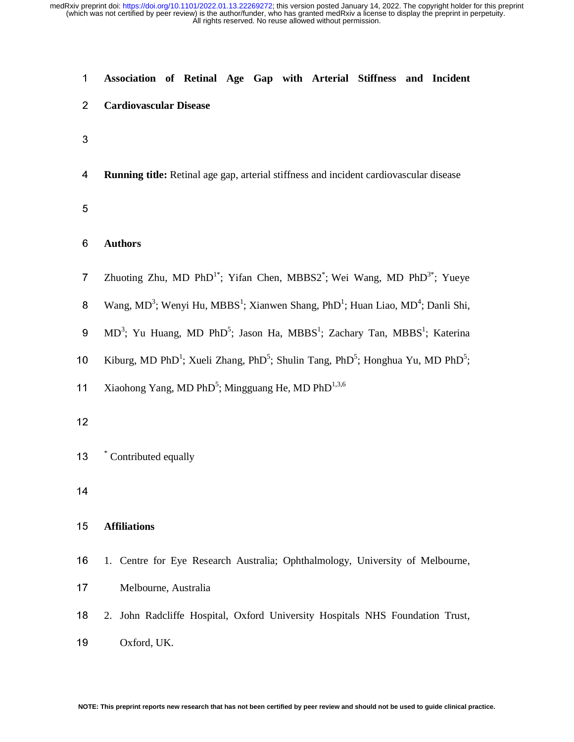| 1              | Association of Retinal Age Gap with Arterial Stiffness and Incident                                                             |
|----------------|---------------------------------------------------------------------------------------------------------------------------------|
| $\overline{2}$ | <b>Cardiovascular Disease</b>                                                                                                   |
| 3              |                                                                                                                                 |
| 4              | Running title: Retinal age gap, arterial stiffness and incident cardiovascular disease                                          |
| 5              |                                                                                                                                 |
| 6              | <b>Authors</b>                                                                                                                  |
| $\overline{7}$ | Zhuoting Zhu, MD PhD <sup>1*</sup> ; Yifan Chen, MBBS2 <sup>*</sup> ; Wei Wang, MD PhD <sup>3*</sup> ; Yueye                    |
| 8              | Wang, MD <sup>3</sup> ; Wenyi Hu, MBBS <sup>1</sup> ; Xianwen Shang, PhD <sup>1</sup> ; Huan Liao, MD <sup>4</sup> ; Danli Shi, |
| 9              | MD <sup>3</sup> ; Yu Huang, MD PhD <sup>5</sup> ; Jason Ha, MBBS <sup>1</sup> ; Zachary Tan, MBBS <sup>1</sup> ; Katerina       |
| 10             | Kiburg, MD PhD <sup>1</sup> ; Xueli Zhang, PhD <sup>5</sup> ; Shulin Tang, PhD <sup>5</sup> ; Honghua Yu, MD PhD <sup>5</sup> ; |
| 11             | Xiaohong Yang, MD PhD <sup>5</sup> ; Mingguang He, MD PhD <sup>1,3,6</sup>                                                      |
| 12             |                                                                                                                                 |
| 13             | * Contributed equally                                                                                                           |
| 14             |                                                                                                                                 |
| 15             | <b>Affiliations</b>                                                                                                             |
| 16             | 1. Centre for Eye Research Australia; Ophthalmology, University of Melbourne,                                                   |
| 17             | Melbourne, Australia                                                                                                            |
| 18             | 2. John Radcliffe Hospital, Oxford University Hospitals NHS Foundation Trust,                                                   |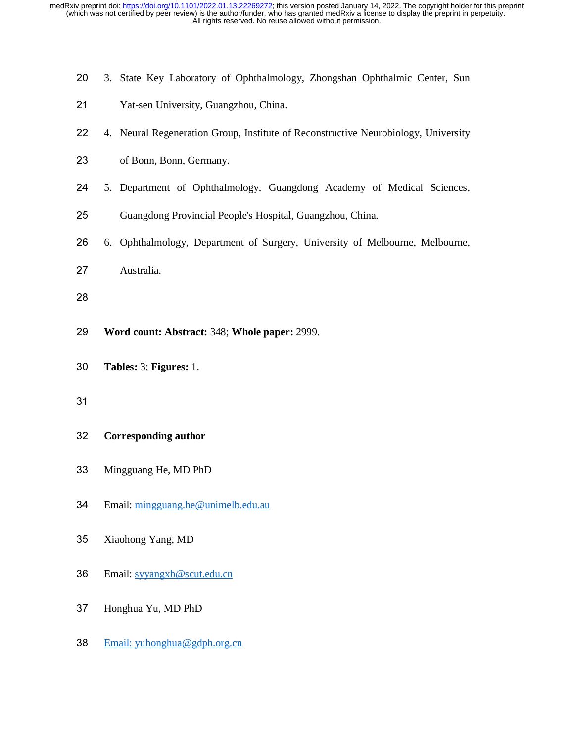- 20 3. State Key Laboratory of Ophthalmology, Zhongshan Ophthalmic Center, Sun
- 21 Yat-sen University, Guangzhou, China.
- 22 4. Neural Regeneration Group, Institute of Reconstructive Neurobiology, University
- 23 of Bonn, Bonn, Germany.
- 24 5. Department of Ophthalmology, Guangdong Academy of Medical Sciences,
- 25 Guangdong Provincial People's Hospital, Guangzhou, China.
- 26 6. Ophthalmology, Department of Surgery, University of Melbourne, Melbourne,
- 27 Australia.
- 28
- <sup>29</sup>**Word count: Abstract:** 348; **Whole paper:** 2999.
- <sup>30</sup>**Tables:** 3; **Figures:** 1.
- 

## <sup>32</sup>**Corresponding author**

- 33 Mingguang He, MD PhD
- 34 Email: mingguang.he@unimelb.edu.au
- 35 Xiaohong Yang, MD
- <sup>36</sup>Email: syyangxh@scut.edu.cn
- 37 Honghua Yu, MD PhD
- 38 Email: yuhonghua@gdph.org.cn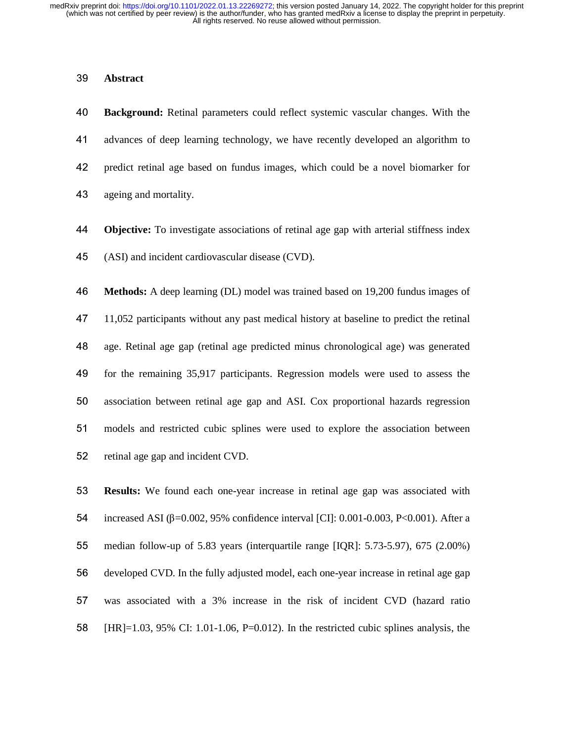# <sup>39</sup>**Abstract**

<sup>40</sup>**Background:** Retinal parameters could reflect systemic vascular changes. With the 41 advances of deep learning technology, we have recently developed an algorithm to 42 predict retinal age based on fundus images, which could be a novel biomarker for 43 ageing and mortality.

<sup>44</sup>**Objective:** To investigate associations of retinal age gap with arterial stiffness index 45 (ASI) and incident cardiovascular disease (CVD).

<sup>46</sup>**Methods:** A deep learning (DL) model was trained based on 19,200 fundus images of 47 11,052 participants without any past medical history at baseline to predict the retinal 48 age. Retinal age gap (retinal age predicted minus chronological age) was generated 49 for the remaining 35,917 participants. Regression models were used to assess the 50 association between retinal age gap and ASI. Cox proportional hazards regression 51 models and restricted cubic splines were used to explore the association between 52 retinal age gap and incident CVD.

<sup>53</sup>**Results:** We found each one-year increase in retinal age gap was associated with 54 increased ASI ( $\beta$ =0.002, 95% confidence interval [CI]: 0.001-0.003, P<0.001). After a 55 median follow-up of 5.83 years (interquartile range [IQR]:  $5.73-5.97$ ), 675 (2.00%) 56 developed CVD. In the fully adjusted model, each one-year increase in retinal age gap 57 was associated with a 3% increase in the risk of incident CVD (hazard ratio 58 [HR]=1.03, 95% CI: 1.01-1.06, P=0.012). In the restricted cubic splines analysis, the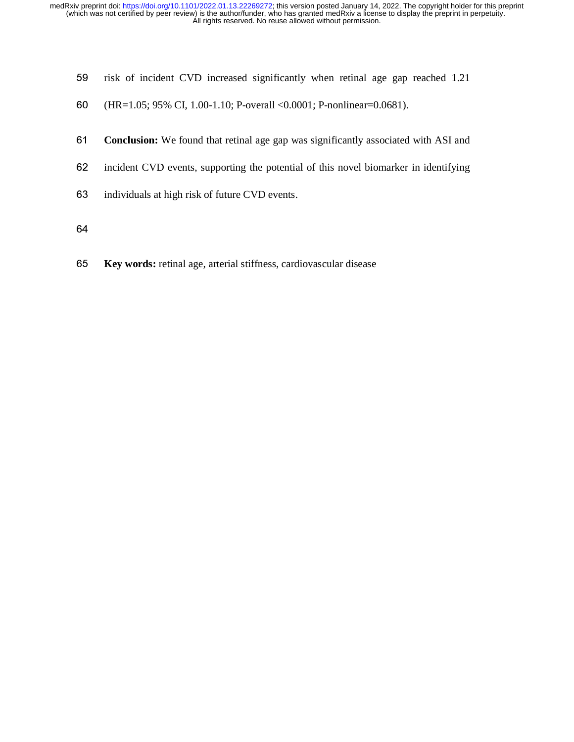- 59 risk of incident CVD increased significantly when retinal age gap reached 1.21
- <sup>60</sup>(HR=1.05; 95% CI, 1.00-1.10; P-overall <0.0001; P-nonlinear=0.0681).
- <sup>61</sup>**Conclusion:** We found that retinal age gap was significantly associated with ASI and
- 62 incident CVD events, supporting the potential of this novel biomarker in identifying
- 63 individuals at high risk of future CVD events.
- 
- <sup>65</sup>**Key words:** retinal age, arterial stiffness, cardiovascular disease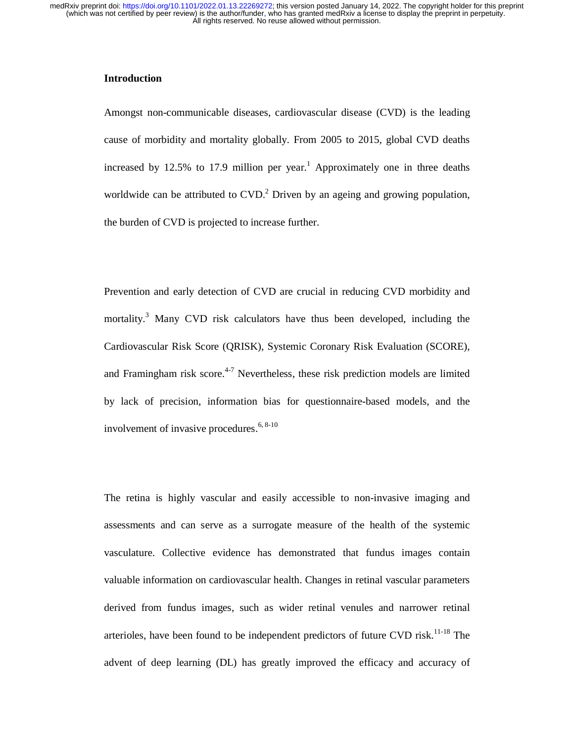# **Introduction**

Amongst non-communicable diseases, cardiovascular disease (CVD) is the leading cause of morbidity and mortality globally. From 2005 to 2015, global CVD deaths increased by 12.5% to 17.9 million per year.<sup>1</sup> Approximately one in three deaths worldwide can be attributed to  $CVD$ <sup>2</sup> Driven by an ageing and growing population, the burden of CVD is projected to increase further.

Prevention and early detection of CVD are crucial in reducing CVD morbidity and mortality.<sup>3</sup> Many CVD risk calculators have thus been developed, including the Cardiovascular Risk Score (QRISK), Systemic Coronary Risk Evaluation (SCORE), and Framingham risk score.<sup>4-7</sup> Nevertheless, these risk prediction models are limited by lack of precision, information bias for questionnaire-based models, and the involvement of invasive procedures.  $6, 8-10$ 

The retina is highly vascular and easily accessible to non-invasive imaging and assessments and can serve as a surrogate measure of the health of the systemic vasculature. Collective evidence has demonstrated that fundus images contain valuable information on cardiovascular health. Changes in retinal vascular parameters derived from fundus images, such as wider retinal venules and narrower retinal arterioles, have been found to be independent predictors of future CVD risk.<sup>11-18</sup> The advent of deep learning (DL) has greatly improved the efficacy and accuracy of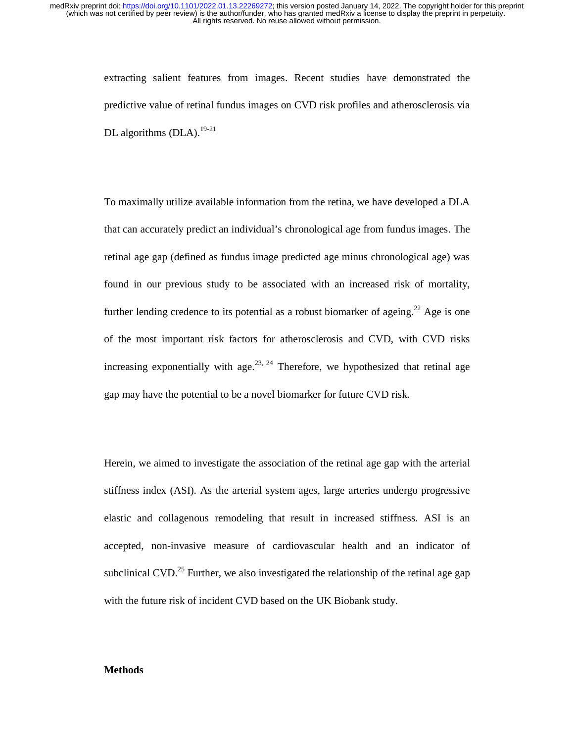> extracting salient features from images. Recent studies have demonstrated the predictive value of retinal fundus images on CVD risk profiles and atherosclerosis via DL algorithms  $(DLA).$ <sup>19-21</sup>

> To maximally utilize available information from the retina, we have developed a DLA that can accurately predict an individual's chronological age from fundus images. The retinal age gap (defined as fundus image predicted age minus chronological age) was found in our previous study to be associated with an increased risk of mortality, further lending credence to its potential as a robust biomarker of ageing.<sup>22</sup> Age is one of the most important risk factors for atherosclerosis and CVD, with CVD risks increasing exponentially with age.<sup>23, 24</sup> Therefore, we hypothesized that retinal age gap may have the potential to be a novel biomarker for future CVD risk.

> Herein, we aimed to investigate the association of the retinal age gap with the arterial stiffness index (ASI). As the arterial system ages, large arteries undergo progressive elastic and collagenous remodeling that result in increased stiffness. ASI is an accepted, non-invasive measure of cardiovascular health and an indicator of subclinical CVD.<sup>25</sup> Further, we also investigated the relationship of the retinal age gap with the future risk of incident CVD based on the UK Biobank study.

## **Methods**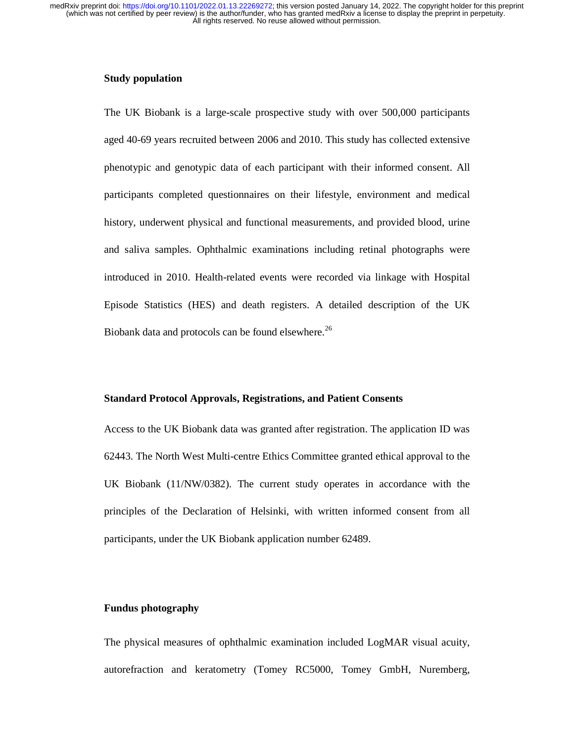### **Study population**

The UK Biobank is a large-scale prospective study with over 500,000 participants aged 40-69 years recruited between 2006 and 2010. This study has collected extensive phenotypic and genotypic data of each participant with their informed consent. All participants completed questionnaires on their lifestyle, environment and medical history, underwent physical and functional measurements, and provided blood, urine and saliva samples. Ophthalmic examinations including retinal photographs were introduced in 2010. Health-related events were recorded via linkage with Hospital Episode Statistics (HES) and death registers. A detailed description of the UK Biobank data and protocols can be found elsewhere.<sup>26</sup>

#### **Standard Protocol Approvals, Registrations, and Patient Consents**

Access to the UK Biobank data was granted after registration. The application ID was 62443. The North West Multi-centre Ethics Committee granted ethical approval to the UK Biobank (11/NW/0382). The current study operates in accordance with the principles of the Declaration of Helsinki, with written informed consent from all participants, under the UK Biobank application number 62489.

#### **Fundus photography**

The physical measures of ophthalmic examination included LogMAR visual acuity, autorefraction and keratometry (Tomey RC5000, Tomey GmbH, Nuremberg,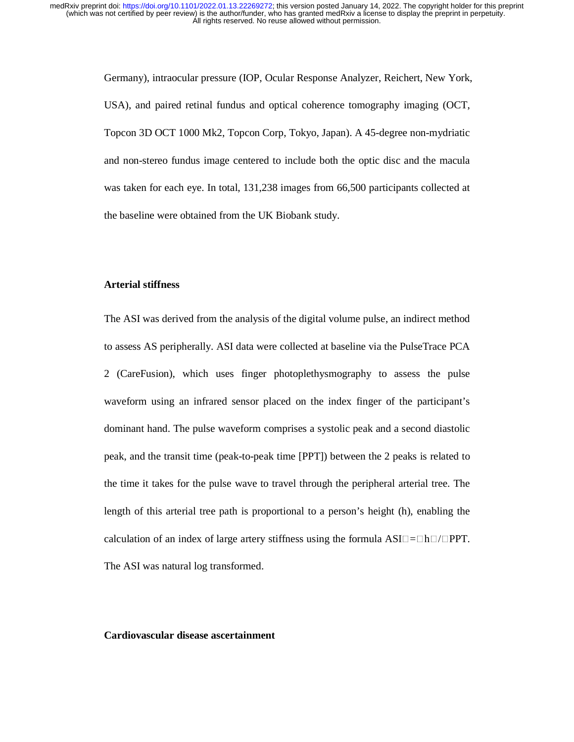> Germany), intraocular pressure (IOP, Ocular Response Analyzer, Reichert, New York, USA), and paired retinal fundus and optical coherence tomography imaging (OCT, Topcon 3D OCT 1000 Mk2, Topcon Corp, Tokyo, Japan). A 45-degree non-mydriatic and non-stereo fundus image centered to include both the optic disc and the macula was taken for each eye. In total, 131,238 images from 66,500 participants collected at the baseline were obtained from the UK Biobank study.

#### **Arterial stiffness**

The ASI was derived from the analysis of the digital volume pulse, an indirect method to assess AS peripherally. ASI data were collected at baseline via the PulseTrace PCA 2 (CareFusion), which uses finger photoplethysmography to assess the pulse waveform using an infrared sensor placed on the index finger of the participant's dominant hand. The pulse waveform comprises a systolic peak and a second diastolic peak, and the transit time (peak-to-peak time [PPT]) between the 2 peaks is related to the time it takes for the pulse wave to travel through the peripheral arterial tree. The length of this arterial tree path is proportional to a person's height (h), enabling the calculation of an index of large artery stiffness using the formula  $ASI \Box = \Box h \Box / \Box PPT$ . The ASI was natural log transformed.

### **Cardiovascular disease ascertainment**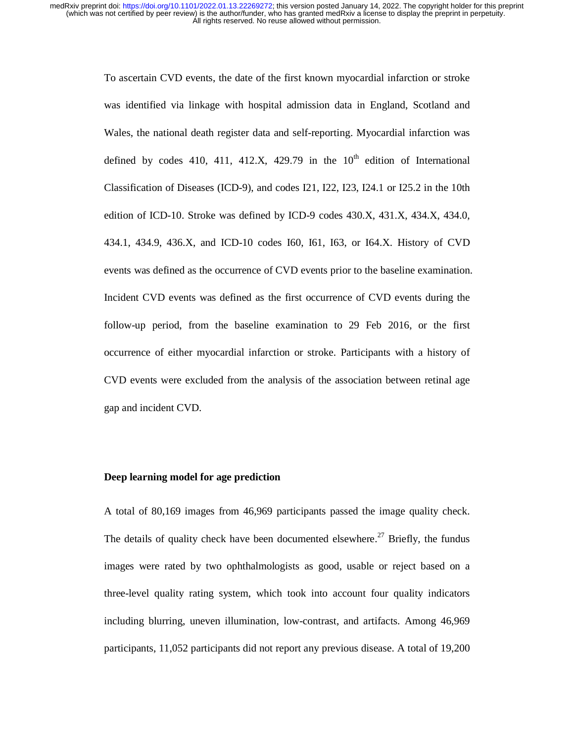> To ascertain CVD events, the date of the first known myocardial infarction or stroke was identified via linkage with hospital admission data in England, Scotland and Wales, the national death register data and self-reporting. Myocardial infarction was defined by codes 410, 411, 412.X, 429.79 in the  $10<sup>th</sup>$  edition of International Classification of Diseases (ICD-9), and codes I21, I22, I23, I24.1 or I25.2 in the 10th edition of ICD-10. Stroke was defined by ICD-9 codes 430.X, 431.X, 434.X, 434.0, 434.1, 434.9, 436.X, and ICD-10 codes I60, I61, I63, or I64.X. History of CVD events was defined as the occurrence of CVD events prior to the baseline examination. Incident CVD events was defined as the first occurrence of CVD events during the follow-up period, from the baseline examination to 29 Feb 2016, or the first occurrence of either myocardial infarction or stroke. Participants with a history of CVD events were excluded from the analysis of the association between retinal age gap and incident CVD.

#### **Deep learning model for age prediction**

A total of 80,169 images from 46,969 participants passed the image quality check. The details of quality check have been documented elsewhere.<sup>27</sup> Briefly, the fundus images were rated by two ophthalmologists as good, usable or reject based on a three-level quality rating system, which took into account four quality indicators including blurring, uneven illumination, low-contrast, and artifacts. Among 46,969 participants, 11,052 participants did not report any previous disease. A total of 19,200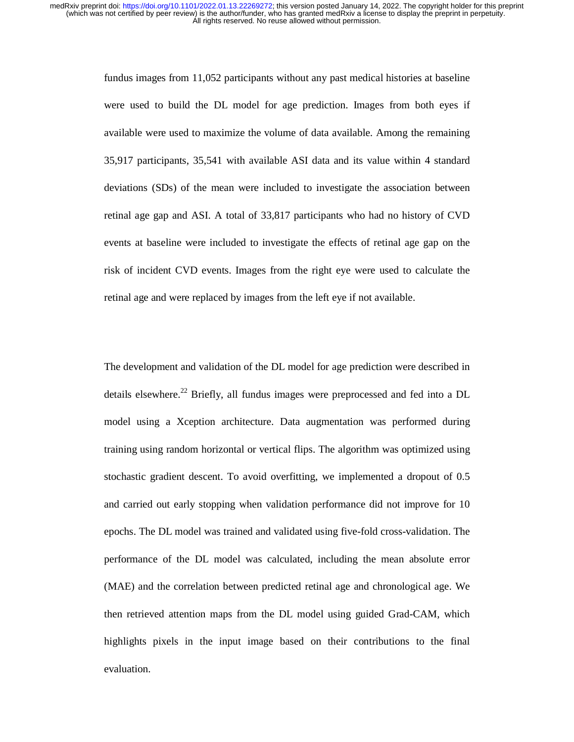> fundus images from 11,052 participants without any past medical histories at baseline were used to build the DL model for age prediction. Images from both eyes if available were used to maximize the volume of data available. Among the remaining 35,917 participants, 35,541 with available ASI data and its value within 4 standard deviations (SDs) of the mean were included to investigate the association between retinal age gap and ASI. A total of 33,817 participants who had no history of CVD events at baseline were included to investigate the effects of retinal age gap on the risk of incident CVD events. Images from the right eye were used to calculate the retinal age and were replaced by images from the left eye if not available.

> The development and validation of the DL model for age prediction were described in details elsewhere.<sup>22</sup> Briefly, all fundus images were preprocessed and fed into a DL model using a Xception architecture. Data augmentation was performed during training using random horizontal or vertical flips. The algorithm was optimized using stochastic gradient descent. To avoid overfitting, we implemented a dropout of 0.5 and carried out early stopping when validation performance did not improve for 10 epochs. The DL model was trained and validated using five-fold cross-validation. The performance of the DL model was calculated, including the mean absolute error (MAE) and the correlation between predicted retinal age and chronological age. We then retrieved attention maps from the DL model using guided Grad-CAM, which highlights pixels in the input image based on their contributions to the final evaluation.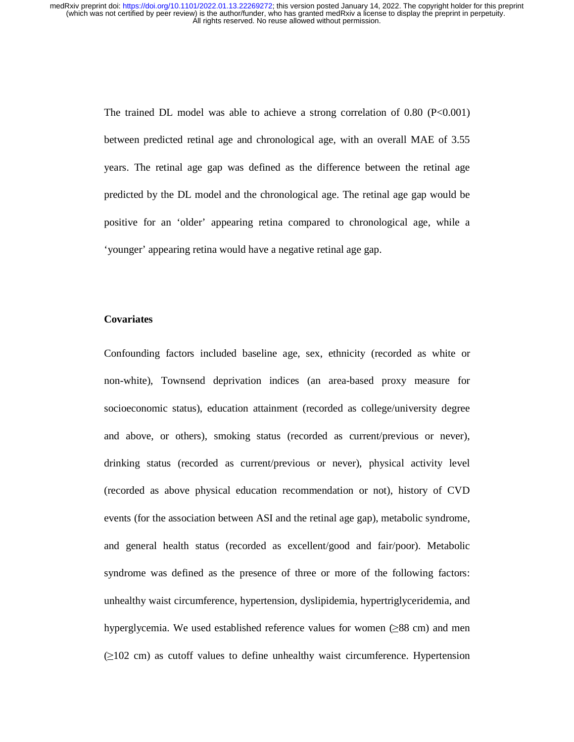> The trained DL model was able to achieve a strong correlation of  $0.80$  (P<0.001) between predicted retinal age and chronological age, with an overall MAE of 3.55 years. The retinal age gap was defined as the difference between the retinal age predicted by the DL model and the chronological age. The retinal age gap would be positive for an 'older' appearing retina compared to chronological age, while a 'younger' appearing retina would have a negative retinal age gap.

### **Covariates**

Confounding factors included baseline age, sex, ethnicity (recorded as white or non-white), Townsend deprivation indices (an area-based proxy measure for socioeconomic status), education attainment (recorded as college/university degree and above, or others), smoking status (recorded as current/previous or never), drinking status (recorded as current/previous or never), physical activity level (recorded as above physical education recommendation or not), history of CVD events (for the association between ASI and the retinal age gap), metabolic syndrome, and general health status (recorded as excellent/good and fair/poor). Metabolic syndrome was defined as the presence of three or more of the following factors: unhealthy waist circumference, hypertension, dyslipidemia, hypertriglyceridemia, and hyperglycemia. We used established reference values for women  $(\geq 88 \text{ cm})$  and men (≥102 cm) as cutoff values to define unhealthy waist circumference. Hypertension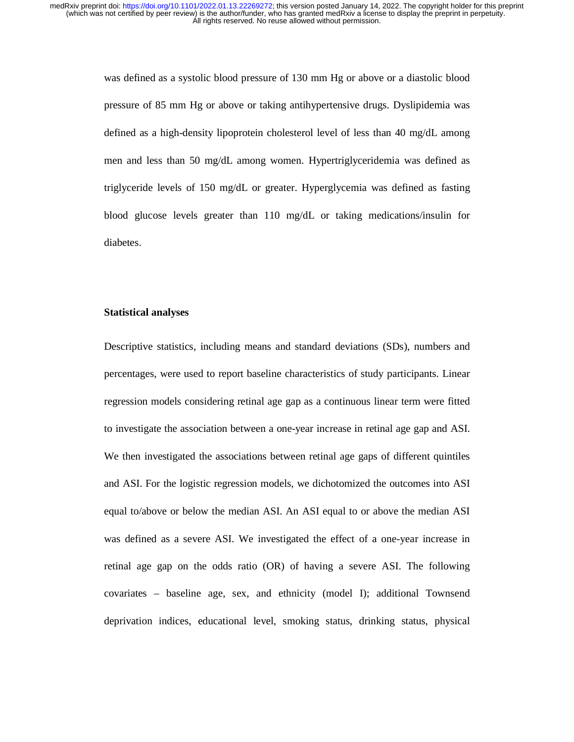> was defined as a systolic blood pressure of 130 mm Hg or above or a diastolic blood pressure of 85 mm Hg or above or taking antihypertensive drugs. Dyslipidemia was defined as a high-density lipoprotein cholesterol level of less than 40 mg/dL among men and less than 50 mg/dL among women. Hypertriglyceridemia was defined as triglyceride levels of 150 mg/dL or greater. Hyperglycemia was defined as fasting blood glucose levels greater than 110 mg/dL or taking medications/insulin for diabetes.

#### **Statistical analyses**

Descriptive statistics, including means and standard deviations (SDs), numbers and percentages, were used to report baseline characteristics of study participants. Linear regression models considering retinal age gap as a continuous linear term were fitted to investigate the association between a one-year increase in retinal age gap and ASI. We then investigated the associations between retinal age gaps of different quintiles and ASI. For the logistic regression models, we dichotomized the outcomes into ASI equal to/above or below the median ASI. An ASI equal to or above the median ASI was defined as a severe ASI. We investigated the effect of a one-year increase in retinal age gap on the odds ratio (OR) of having a severe ASI. The following covariates – baseline age, sex, and ethnicity (model I); additional Townsend deprivation indices, educational level, smoking status, drinking status, physical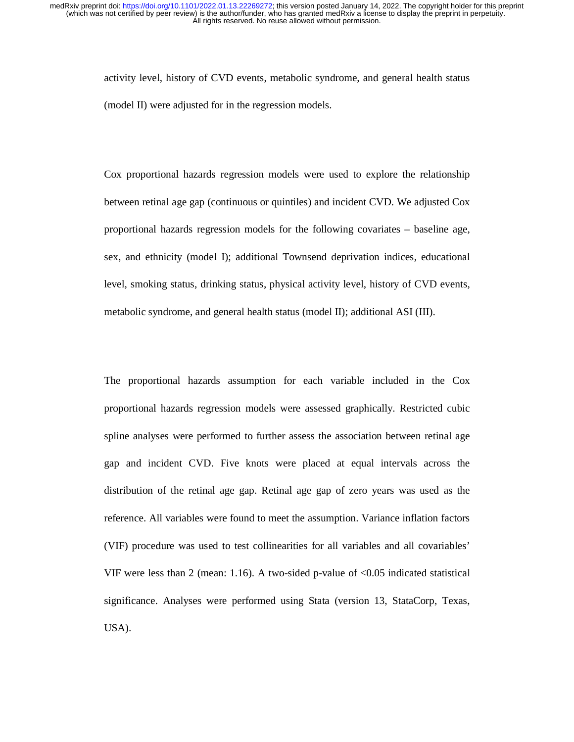activity level, history of CVD events, metabolic syndrome, and general health status (model II) were adjusted for in the regression models.

Cox proportional hazards regression models were used to explore the relationship between retinal age gap (continuous or quintiles) and incident CVD. We adjusted Cox proportional hazards regression models for the following covariates – baseline age, sex, and ethnicity (model I); additional Townsend deprivation indices, educational level, smoking status, drinking status, physical activity level, history of CVD events, metabolic syndrome, and general health status (model II); additional ASI (III).

The proportional hazards assumption for each variable included in the Cox proportional hazards regression models were assessed graphically. Restricted cubic spline analyses were performed to further assess the association between retinal age gap and incident CVD. Five knots were placed at equal intervals across the distribution of the retinal age gap. Retinal age gap of zero years was used as the reference. All variables were found to meet the assumption. Variance inflation factors (VIF) procedure was used to test collinearities for all variables and all covariables' VIF were less than 2 (mean: 1.16). A two-sided p-value of <0.05 indicated statistical significance. Analyses were performed using Stata (version 13, StataCorp, Texas, USA).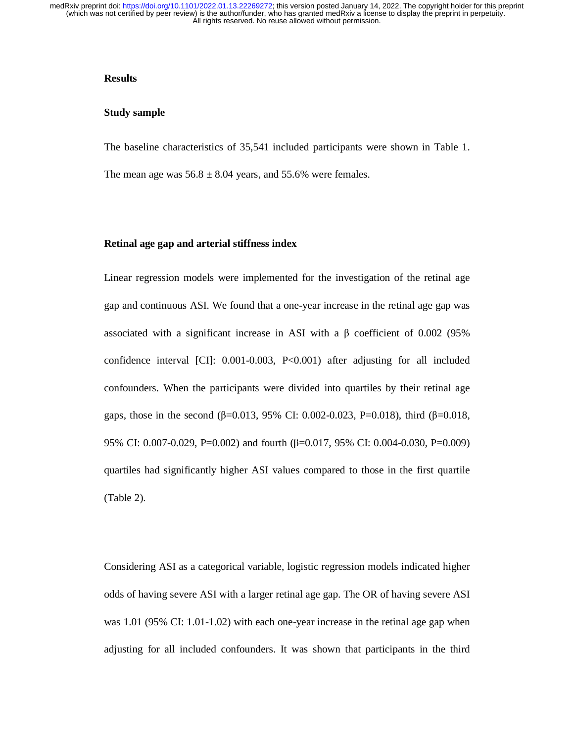## **Results**

#### **Study sample**

The baseline characteristics of 35,541 included participants were shown in Table 1.

The mean age was  $56.8 \pm 8.04$  years, and 55.6% were females.

#### **Retinal age gap and arterial stiffness index**

Linear regression models were implemented for the investigation of the retinal age gap and continuous ASI. We found that a one-year increase in the retinal age gap was associated with a significant increase in ASI with a β coefficient of 0.002 (95% confidence interval [CI]: 0.001-0.003, P<0.001) after adjusting for all included confounders. When the participants were divided into quartiles by their retinal age gaps, those in the second (β=0.013, 95% CI: 0.002-0.023, P=0.018), third (β=0.018, 95% CI: 0.007-0.029, P=0.002) and fourth (β=0.017, 95% CI: 0.004-0.030, P=0.009) quartiles had significantly higher ASI values compared to those in the first quartile (Table 2).

Considering ASI as a categorical variable, logistic regression models indicated higher odds of having severe ASI with a larger retinal age gap. The OR of having severe ASI was 1.01 (95% CI: 1.01-1.02) with each one-year increase in the retinal age gap when adjusting for all included confounders. It was shown that participants in the third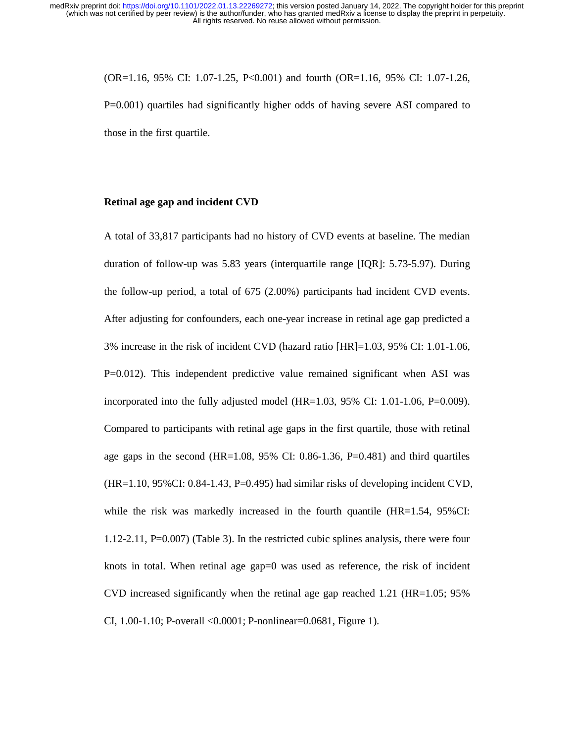(OR=1.16, 95% CI: 1.07-1.25, P<0.001) and fourth (OR=1.16, 95% CI: 1.07-1.26, P=0.001) quartiles had significantly higher odds of having severe ASI compared to those in the first quartile.

## **Retinal age gap and incident CVD**

A total of 33,817 participants had no history of CVD events at baseline. The median duration of follow-up was 5.83 years (interquartile range [IQR]: 5.73-5.97). During the follow-up period, a total of 675 (2.00%) participants had incident CVD events. After adjusting for confounders, each one-year increase in retinal age gap predicted a 3% increase in the risk of incident CVD (hazard ratio [HR]=1.03, 95% CI: 1.01-1.06, P=0.012). This independent predictive value remained significant when ASI was incorporated into the fully adjusted model (HR=1.03, 95% CI: 1.01-1.06, P=0.009). Compared to participants with retinal age gaps in the first quartile, those with retinal age gaps in the second  $(HR=1.08, 95\% \text{ CI: } 0.86-1.36, P=0.481)$  and third quartiles  $(HR=1.10, 95\% CI: 0.84-1.43, P=0.495)$  had similar risks of developing incident CVD, while the risk was markedly increased in the fourth quantile (HR=1.54, 95%CI: 1.12-2.11, P=0.007) (Table 3). In the restricted cubic splines analysis, there were four knots in total. When retinal age gap=0 was used as reference, the risk of incident CVD increased significantly when the retinal age gap reached 1.21 ( $HR=1.05$ ; 95%) CI, 1.00-1.10; P-overall <0.0001; P-nonlinear=0.0681, Figure 1).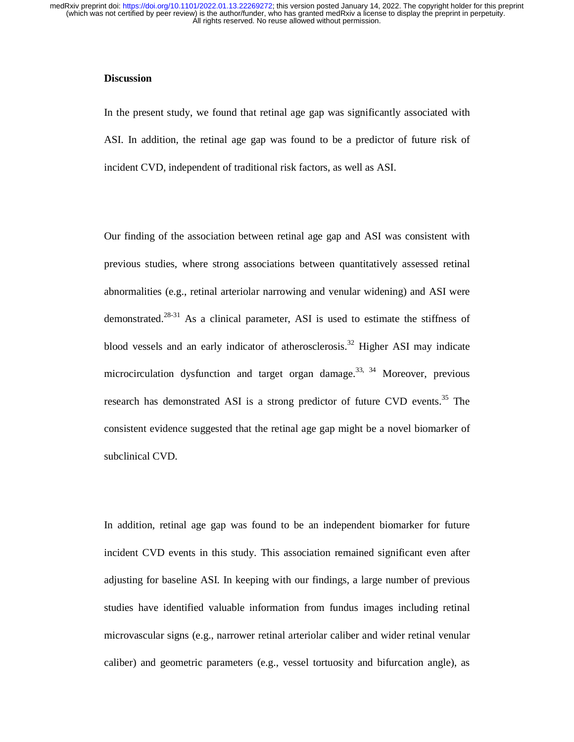#### **Discussion**

In the present study, we found that retinal age gap was significantly associated with ASI. In addition, the retinal age gap was found to be a predictor of future risk of incident CVD, independent of traditional risk factors, as well as ASI.

Our finding of the association between retinal age gap and ASI was consistent with previous studies, where strong associations between quantitatively assessed retinal abnormalities (e.g., retinal arteriolar narrowing and venular widening) and ASI were demonstrated.28-31 As a clinical parameter, ASI is used to estimate the stiffness of blood vessels and an early indicator of atherosclerosis.<sup>32</sup> Higher ASI may indicate microcirculation dysfunction and target organ damage.<sup>33, 34</sup> Moreover, previous research has demonstrated ASI is a strong predictor of future CVD events.<sup>35</sup> The consistent evidence suggested that the retinal age gap might be a novel biomarker of subclinical CVD.

In addition, retinal age gap was found to be an independent biomarker for future incident CVD events in this study. This association remained significant even after adjusting for baseline ASI. In keeping with our findings, a large number of previous studies have identified valuable information from fundus images including retinal microvascular signs (e.g., narrower retinal arteriolar caliber and wider retinal venular caliber) and geometric parameters (e.g., vessel tortuosity and bifurcation angle), as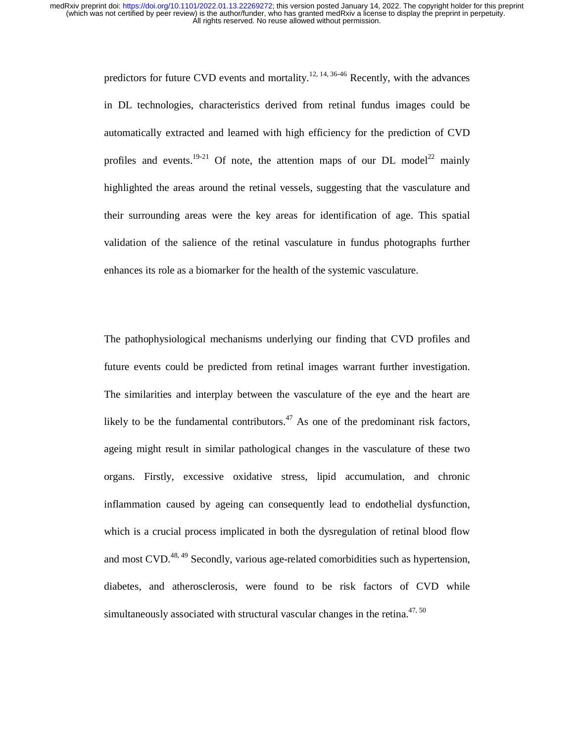> predictors for future CVD events and mortality.<sup>12, 14, 36-46</sup> Recently, with the advances in DL technologies, characteristics derived from retinal fundus images could be automatically extracted and learned with high efficiency for the prediction of CVD profiles and events.<sup>19-21</sup> Of note, the attention maps of our DL model<sup>22</sup> mainly highlighted the areas around the retinal vessels, suggesting that the vasculature and their surrounding areas were the key areas for identification of age. This spatial validation of the salience of the retinal vasculature in fundus photographs further enhances its role as a biomarker for the health of the systemic vasculature.

> The pathophysiological mechanisms underlying our finding that CVD profiles and future events could be predicted from retinal images warrant further investigation. The similarities and interplay between the vasculature of the eye and the heart are likely to be the fundamental contributors.<sup>47</sup> As one of the predominant risk factors, ageing might result in similar pathological changes in the vasculature of these two organs. Firstly, excessive oxidative stress, lipid accumulation, and chronic inflammation caused by ageing can consequently lead to endothelial dysfunction, which is a crucial process implicated in both the dysregulation of retinal blood flow and most CVD. $^{48,49}$  Secondly, various age-related comorbidities such as hypertension, diabetes, and atherosclerosis, were found to be risk factors of CVD while simultaneously associated with structural vascular changes in the retina.<sup>47, 50</sup>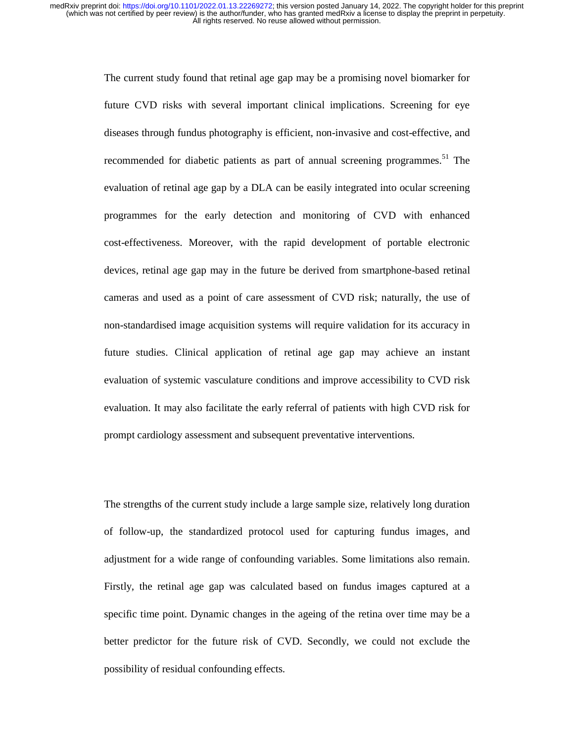> The current study found that retinal age gap may be a promising novel biomarker for future CVD risks with several important clinical implications. Screening for eye diseases through fundus photography is efficient, non-invasive and cost-effective, and recommended for diabetic patients as part of annual screening programmes.<sup>51</sup> The evaluation of retinal age gap by a DLA can be easily integrated into ocular screening programmes for the early detection and monitoring of CVD with enhanced cost-effectiveness. Moreover, with the rapid development of portable electronic devices, retinal age gap may in the future be derived from smartphone-based retinal cameras and used as a point of care assessment of CVD risk; naturally, the use of non-standardised image acquisition systems will require validation for its accuracy in future studies. Clinical application of retinal age gap may achieve an instant evaluation of systemic vasculature conditions and improve accessibility to CVD risk evaluation. It may also facilitate the early referral of patients with high CVD risk for prompt cardiology assessment and subsequent preventative interventions.

> The strengths of the current study include a large sample size, relatively long duration of follow-up, the standardized protocol used for capturing fundus images, and adjustment for a wide range of confounding variables. Some limitations also remain. Firstly, the retinal age gap was calculated based on fundus images captured at a specific time point. Dynamic changes in the ageing of the retina over time may be a better predictor for the future risk of CVD. Secondly, we could not exclude the possibility of residual confounding effects.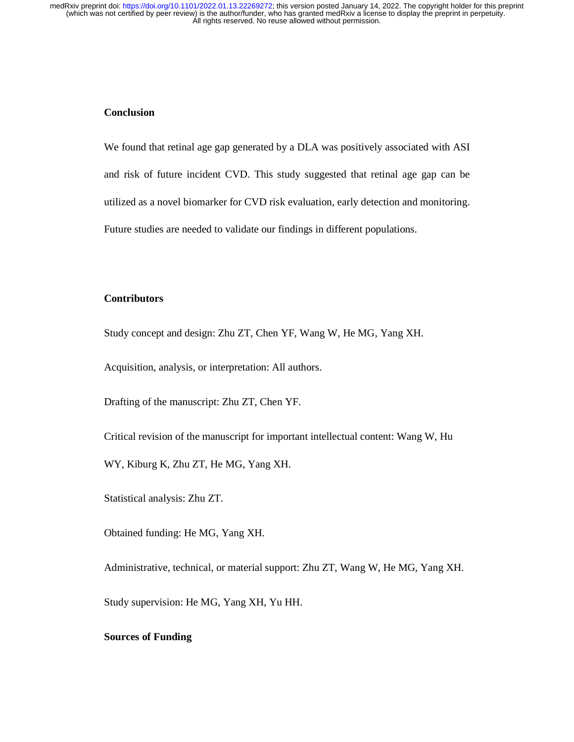# **Conclusion**

We found that retinal age gap generated by a DLA was positively associated with ASI and risk of future incident CVD. This study suggested that retinal age gap can be utilized as a novel biomarker for CVD risk evaluation, early detection and monitoring. Future studies are needed to validate our findings in different populations.

# **Contributors**

Study concept and design: Zhu ZT, Chen YF, Wang W, He MG, Yang XH.

Acquisition, analysis, or interpretation: All authors.

Drafting of the manuscript: Zhu ZT, Chen YF.

Critical revision of the manuscript for important intellectual content: Wang W, Hu

WY, Kiburg K, Zhu ZT, He MG, Yang XH.

Statistical analysis: Zhu ZT.

Obtained funding: He MG, Yang XH.

Administrative, technical, or material support: Zhu ZT, Wang W, He MG, Yang XH.

Study supervision: He MG, Yang XH, Yu HH.

### **Sources of Funding**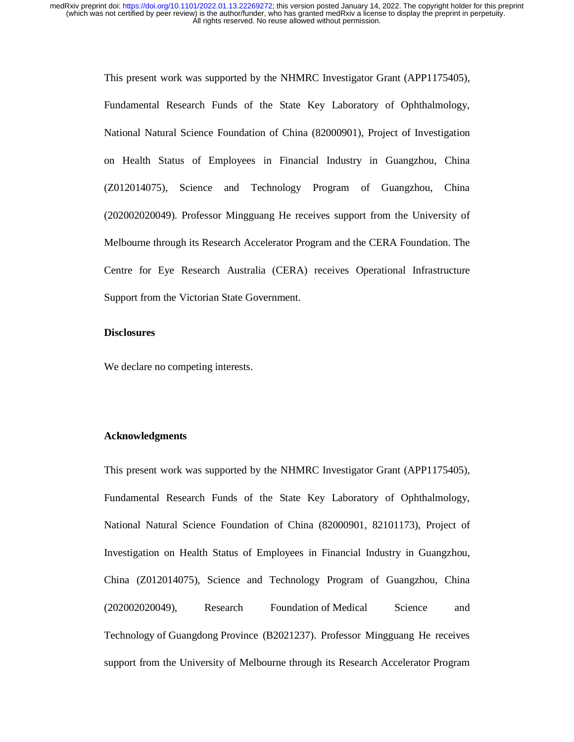> This present work was supported by the NHMRC Investigator Grant (APP1175405), Fundamental Research Funds of the State Key Laboratory of Ophthalmology, National Natural Science Foundation of China (82000901), Project of Investigation on Health Status of Employees in Financial Industry in Guangzhou, China (Z012014075), Science and Technology Program of Guangzhou, China (202002020049). Professor Mingguang He receives support from the University of Melbourne through its Research Accelerator Program and the CERA Foundation. The Centre for Eye Research Australia (CERA) receives Operational Infrastructure Support from the Victorian State Government.

#### **Disclosures**

We declare no competing interests.

#### **Acknowledgments**

This present work was supported by the NHMRC Investigator Grant (APP1175405), Fundamental Research Funds of the State Key Laboratory of Ophthalmology, National Natural Science Foundation of China (82000901, 82101173), Project of Investigation on Health Status of Employees in Financial Industry in Guangzhou, China (Z012014075), Science and Technology Program of Guangzhou, China (202002020049), Research Foundation of Medical Science and Technology of Guangdong Province (B2021237). Professor Mingguang He receives support from the University of Melbourne through its Research Accelerator Program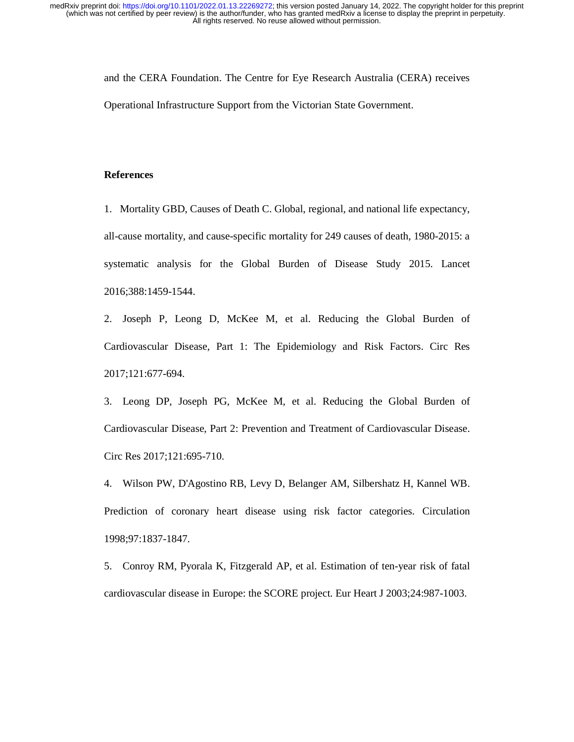and the CERA Foundation. The Centre for Eye Research Australia (CERA) receives Operational Infrastructure Support from the Victorian State Government.

# **References**

1. Mortality GBD, Causes of Death C. Global, regional, and national life expectancy, all-cause mortality, and cause-specific mortality for 249 causes of death, 1980-2015: a systematic analysis for the Global Burden of Disease Study 2015. Lancet 2016;388:1459-1544.

2. Joseph P, Leong D, McKee M, et al. Reducing the Global Burden of Cardiovascular Disease, Part 1: The Epidemiology and Risk Factors. Circ Res 2017;121:677-694.

3. Leong DP, Joseph PG, McKee M, et al. Reducing the Global Burden of Cardiovascular Disease, Part 2: Prevention and Treatment of Cardiovascular Disease. Circ Res 2017;121:695-710.

4. Wilson PW, D'Agostino RB, Levy D, Belanger AM, Silbershatz H, Kannel WB. Prediction of coronary heart disease using risk factor categories. Circulation 1998;97:1837-1847.

5. Conroy RM, Pyorala K, Fitzgerald AP, et al. Estimation of ten-year risk of fatal cardiovascular disease in Europe: the SCORE project. Eur Heart J 2003;24:987-1003.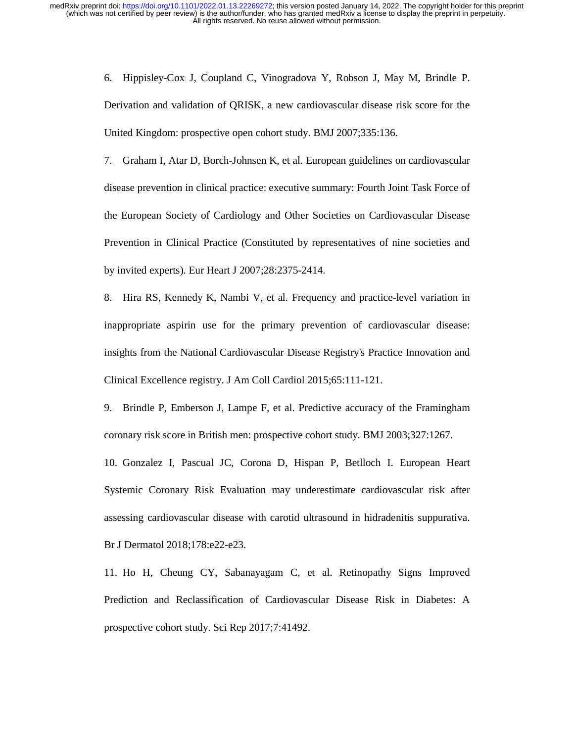> 6. Hippisley-Cox J, Coupland C, Vinogradova Y, Robson J, May M, Brindle P. Derivation and validation of QRISK, a new cardiovascular disease risk score for the United Kingdom: prospective open cohort study. BMJ 2007;335:136.

> 7. Graham I, Atar D, Borch-Johnsen K, et al. European guidelines on cardiovascular disease prevention in clinical practice: executive summary: Fourth Joint Task Force of the European Society of Cardiology and Other Societies on Cardiovascular Disease Prevention in Clinical Practice (Constituted by representatives of nine societies and by invited experts). Eur Heart J 2007;28:2375-2414.

> 8. Hira RS, Kennedy K, Nambi V, et al. Frequency and practice-level variation in inappropriate aspirin use for the primary prevention of cardiovascular disease: insights from the National Cardiovascular Disease Registry's Practice Innovation and Clinical Excellence registry. J Am Coll Cardiol 2015;65:111-121.

> 9. Brindle P, Emberson J, Lampe F, et al. Predictive accuracy of the Framingham coronary risk score in British men: prospective cohort study. BMJ 2003;327:1267.

> 10. Gonzalez I, Pascual JC, Corona D, Hispan P, Betlloch I. European Heart Systemic Coronary Risk Evaluation may underestimate cardiovascular risk after assessing cardiovascular disease with carotid ultrasound in hidradenitis suppurativa. Br J Dermatol 2018;178:e22-e23.

> 11. Ho H, Cheung CY, Sabanayagam C, et al. Retinopathy Signs Improved Prediction and Reclassification of Cardiovascular Disease Risk in Diabetes: A prospective cohort study. Sci Rep 2017;7:41492.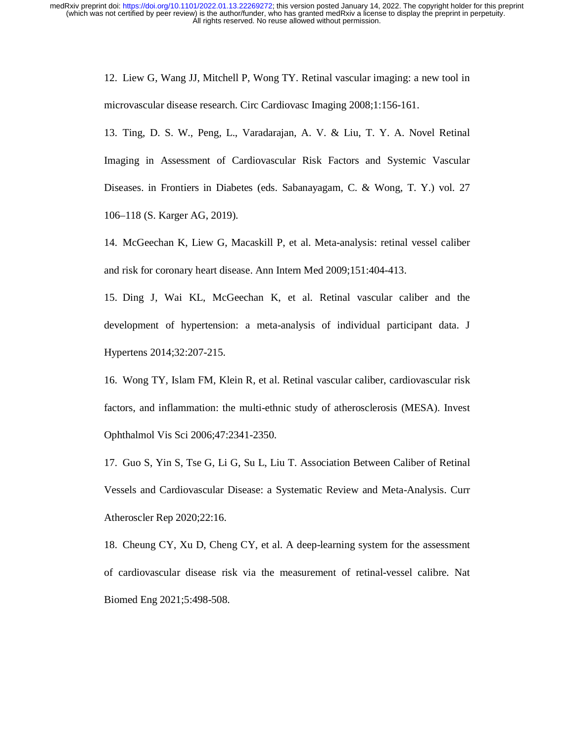12. Liew G, Wang JJ, Mitchell P, Wong TY. Retinal vascular imaging: a new tool in microvascular disease research. Circ Cardiovasc Imaging 2008;1:156-161.

13. Ting, D. S. W., Peng, L., Varadarajan, A. V. & Liu, T. Y. A. Novel Retinal Imaging in Assessment of Cardiovascular Risk Factors and Systemic Vascular Diseases. in Frontiers in Diabetes (eds. Sabanayagam, C. & Wong, T. Y.) vol. 27 106–118 (S. Karger AG, 2019).

14. McGeechan K, Liew G, Macaskill P, et al. Meta-analysis: retinal vessel caliber and risk for coronary heart disease. Ann Intern Med 2009;151:404-413.

15. Ding J, Wai KL, McGeechan K, et al. Retinal vascular caliber and the development of hypertension: a meta-analysis of individual participant data. J Hypertens 2014;32:207-215.

16. Wong TY, Islam FM, Klein R, et al. Retinal vascular caliber, cardiovascular risk factors, and inflammation: the multi-ethnic study of atherosclerosis (MESA). Invest Ophthalmol Vis Sci 2006;47:2341-2350.

17. Guo S, Yin S, Tse G, Li G, Su L, Liu T. Association Between Caliber of Retinal Vessels and Cardiovascular Disease: a Systematic Review and Meta-Analysis. Curr Atheroscler Rep 2020;22:16.

18. Cheung CY, Xu D, Cheng CY, et al. A deep-learning system for the assessment of cardiovascular disease risk via the measurement of retinal-vessel calibre. Nat Biomed Eng 2021;5:498-508.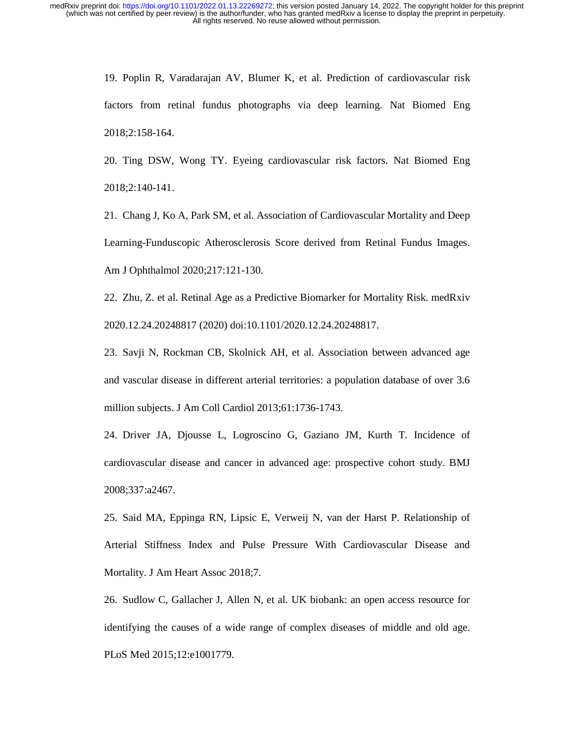19. Poplin R, Varadarajan AV, Blumer K, et al. Prediction of cardiovascular risk factors from retinal fundus photographs via deep learning. Nat Biomed Eng 2018;2:158-164.

20. Ting DSW, Wong TY. Eyeing cardiovascular risk factors. Nat Biomed Eng 2018;2:140-141.

21. Chang J, Ko A, Park SM, et al. Association of Cardiovascular Mortality and Deep Learning-Funduscopic Atherosclerosis Score derived from Retinal Fundus Images. Am J Ophthalmol 2020;217:121-130.

22. Zhu, Z. et al. Retinal Age as a Predictive Biomarker for Mortality Risk. medRxiv 2020.12.24.20248817 (2020) doi:10.1101/2020.12.24.20248817.

23. Savji N, Rockman CB, Skolnick AH, et al. Association between advanced age and vascular disease in different arterial territories: a population database of over 3.6 million subjects. J Am Coll Cardiol 2013;61:1736-1743.

24. Driver JA, Djousse L, Logroscino G, Gaziano JM, Kurth T. Incidence of cardiovascular disease and cancer in advanced age: prospective cohort study. BMJ 2008;337:a2467.

25. Said MA, Eppinga RN, Lipsic E, Verweij N, van der Harst P. Relationship of Arterial Stiffness Index and Pulse Pressure With Cardiovascular Disease and Mortality. J Am Heart Assoc 2018;7.

26. Sudlow C, Gallacher J, Allen N, et al. UK biobank: an open access resource for identifying the causes of a wide range of complex diseases of middle and old age. PLoS Med 2015;12:e1001779.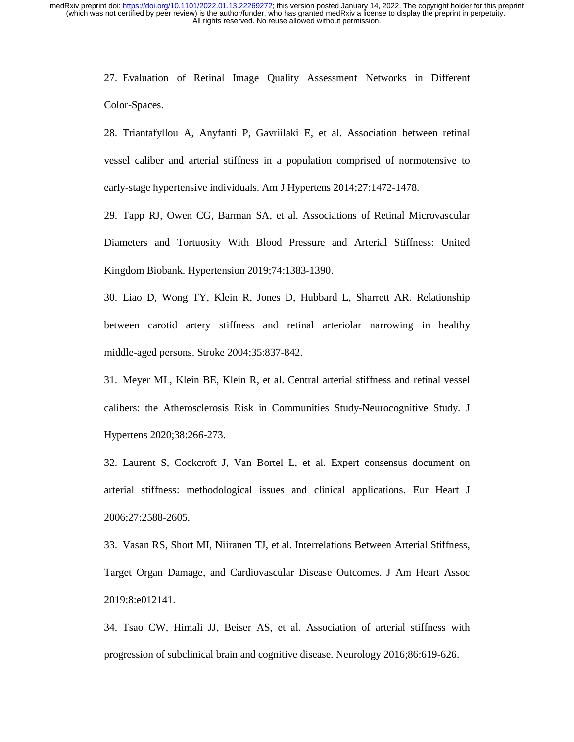27. Evaluation of Retinal Image Quality Assessment Networks in Different Color-Spaces.

28. Triantafyllou A, Anyfanti P, Gavriilaki E, et al. Association between retinal vessel caliber and arterial stiffness in a population comprised of normotensive to early-stage hypertensive individuals. Am J Hypertens 2014;27:1472-1478.

29. Tapp RJ, Owen CG, Barman SA, et al. Associations of Retinal Microvascular Diameters and Tortuosity With Blood Pressure and Arterial Stiffness: United Kingdom Biobank. Hypertension 2019;74:1383-1390.

30. Liao D, Wong TY, Klein R, Jones D, Hubbard L, Sharrett AR. Relationship between carotid artery stiffness and retinal arteriolar narrowing in healthy middle-aged persons. Stroke 2004;35:837-842.

31. Meyer ML, Klein BE, Klein R, et al. Central arterial stiffness and retinal vessel calibers: the Atherosclerosis Risk in Communities Study-Neurocognitive Study. J Hypertens 2020;38:266-273.

32. Laurent S, Cockcroft J, Van Bortel L, et al. Expert consensus document on arterial stiffness: methodological issues and clinical applications. Eur Heart J 2006;27:2588-2605.

33. Vasan RS, Short MI, Niiranen TJ, et al. Interrelations Between Arterial Stiffness, Target Organ Damage, and Cardiovascular Disease Outcomes. J Am Heart Assoc 2019;8:e012141.

34. Tsao CW, Himali JJ, Beiser AS, et al. Association of arterial stiffness with progression of subclinical brain and cognitive disease. Neurology 2016;86:619-626.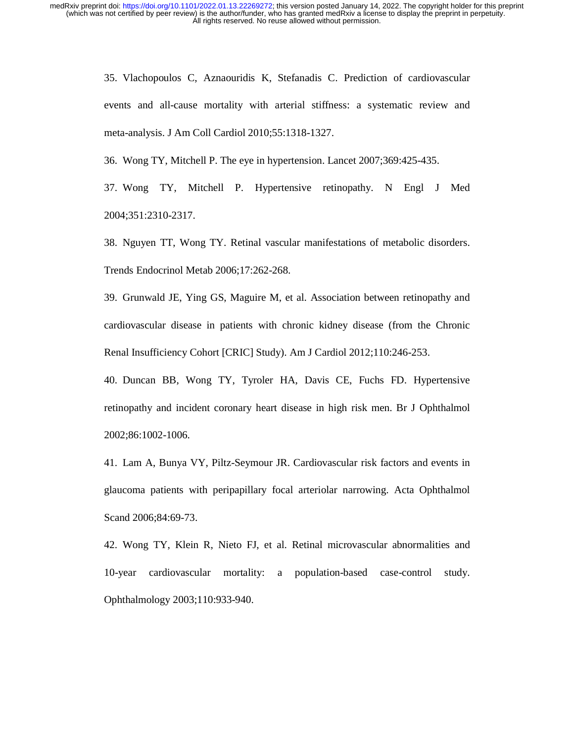> 35. Vlachopoulos C, Aznaouridis K, Stefanadis C. Prediction of cardiovascular events and all-cause mortality with arterial stiffness: a systematic review and meta-analysis. J Am Coll Cardiol 2010;55:1318-1327.

36. Wong TY, Mitchell P. The eye in hypertension. Lancet 2007;369:425-435.

37. Wong TY, Mitchell P. Hypertensive retinopathy. N Engl J Med 2004;351:2310-2317.

38. Nguyen TT, Wong TY. Retinal vascular manifestations of metabolic disorders. Trends Endocrinol Metab 2006;17:262-268.

39. Grunwald JE, Ying GS, Maguire M, et al. Association between retinopathy and cardiovascular disease in patients with chronic kidney disease (from the Chronic Renal Insufficiency Cohort [CRIC] Study). Am J Cardiol 2012;110:246-253.

40. Duncan BB, Wong TY, Tyroler HA, Davis CE, Fuchs FD. Hypertensive retinopathy and incident coronary heart disease in high risk men. Br J Ophthalmol 2002;86:1002-1006.

41. Lam A, Bunya VY, Piltz-Seymour JR. Cardiovascular risk factors and events in glaucoma patients with peripapillary focal arteriolar narrowing. Acta Ophthalmol Scand 2006;84:69-73.

42. Wong TY, Klein R, Nieto FJ, et al. Retinal microvascular abnormalities and 10-year cardiovascular mortality: a population-based case-control study. Ophthalmology 2003;110:933-940.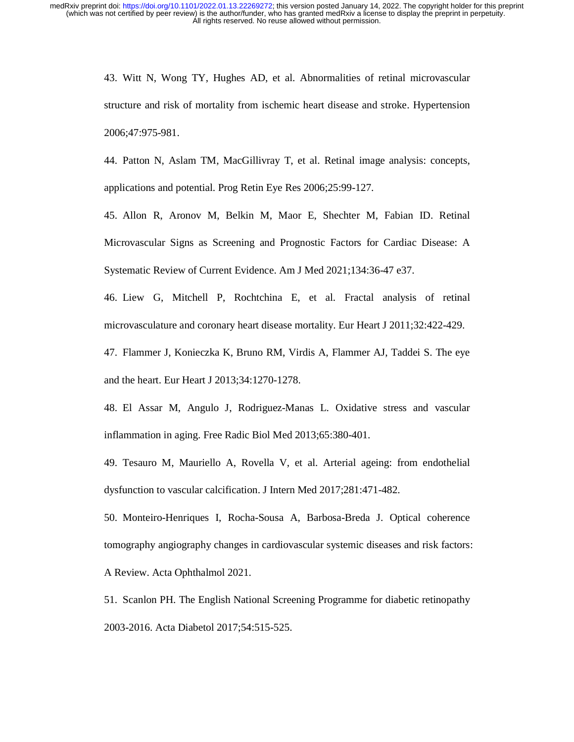> 43. Witt N, Wong TY, Hughes AD, et al. Abnormalities of retinal microvascular structure and risk of mortality from ischemic heart disease and stroke. Hypertension 2006;47:975-981.

> 44. Patton N, Aslam TM, MacGillivray T, et al. Retinal image analysis: concepts, applications and potential. Prog Retin Eye Res 2006;25:99-127.

> 45. Allon R, Aronov M, Belkin M, Maor E, Shechter M, Fabian ID. Retinal Microvascular Signs as Screening and Prognostic Factors for Cardiac Disease: A Systematic Review of Current Evidence. Am J Med 2021;134:36-47 e37.

> 46. Liew G, Mitchell P, Rochtchina E, et al. Fractal analysis of retinal microvasculature and coronary heart disease mortality. Eur Heart J 2011;32:422-429.

> 47. Flammer J, Konieczka K, Bruno RM, Virdis A, Flammer AJ, Taddei S. The eye and the heart. Eur Heart J 2013;34:1270-1278.

> 48. El Assar M, Angulo J, Rodriguez-Manas L. Oxidative stress and vascular inflammation in aging. Free Radic Biol Med 2013;65:380-401.

> 49. Tesauro M, Mauriello A, Rovella V, et al. Arterial ageing: from endothelial dysfunction to vascular calcification. J Intern Med 2017;281:471-482.

> 50. Monteiro-Henriques I, Rocha-Sousa A, Barbosa-Breda J. Optical coherence tomography angiography changes in cardiovascular systemic diseases and risk factors: A Review. Acta Ophthalmol 2021.

> 51. Scanlon PH. The English National Screening Programme for diabetic retinopathy 2003-2016. Acta Diabetol 2017;54:515-525.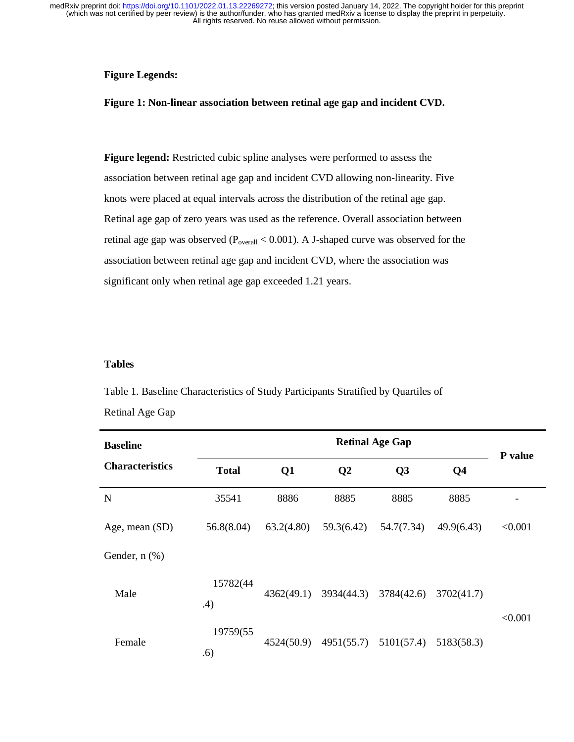# **Figure Legends:**

# **Figure 1: Non-linear association between retinal age gap and incident CVD.**

**Figure legend:** Restricted cubic spline analyses were performed to assess the association between retinal age gap and incident CVD allowing non-linearity. Five knots were placed at equal intervals across the distribution of the retinal age gap. Retinal age gap of zero years was used as the reference. Overall association between retinal age gap was observed ( $P_{overall}$  < 0.001). A J-shaped curve was observed for the association between retinal age gap and incident CVD, where the association was significant only when retinal age gap exceeded 1.21 years.

### **Tables**

Table 1. Baseline Characteristics of Study Participants Stratified by Quartiles of Retinal Age Gap

| <b>Baseline</b>        |                 | <b>Retinal Age Gap</b> |                |                       |                |         |  |
|------------------------|-----------------|------------------------|----------------|-----------------------|----------------|---------|--|
| <b>Characteristics</b> | <b>Total</b>    | Q1                     | Q <sub>2</sub> | Q3                    | Q <sub>4</sub> | P value |  |
| N                      | 35541           | 8886                   | 8885           | 8885                  | 8885           |         |  |
| Age, mean (SD)         | 56.8(8.04)      | 63.2(4.80)             | 59.3(6.42)     | 54.7(7.34)            | 49.9(6.43)     | < 0.001 |  |
| Gender, $n$ $(\%)$     |                 |                        |                |                       |                |         |  |
| Male                   | 15782(44<br>.4) | 4362(49.1)             | 3934(44.3)     | 3784(42.6)            | 3702(41.7)     | < 0.001 |  |
| Female                 | 19759(55<br>.6) | 4524(50.9)             |                | 4951(55.7) 5101(57.4) | 5183(58.3)     |         |  |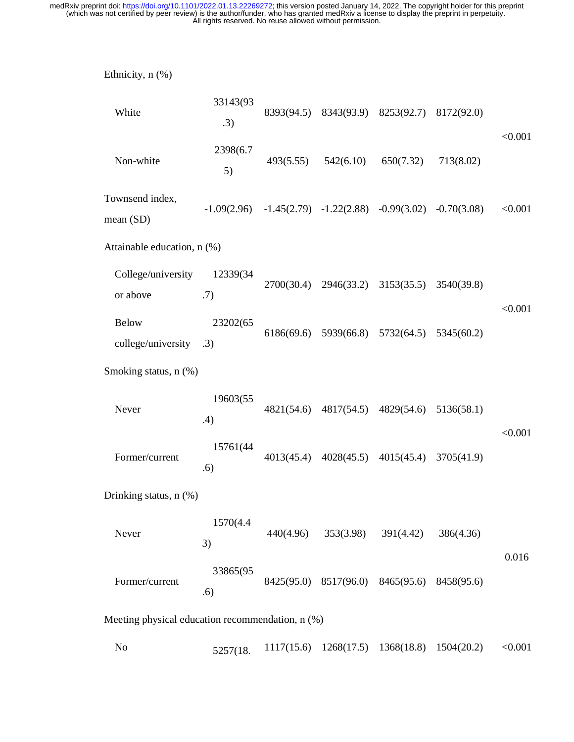| Ethnicity, n (%)                                 |                 |            |                                  |                                  |               |         |  |
|--------------------------------------------------|-----------------|------------|----------------------------------|----------------------------------|---------------|---------|--|
| White                                            | 33143(93<br>.3) | 8393(94.5) |                                  | 8343(93.9) 8253(92.7)            | 8172(92.0)    | < 0.001 |  |
| Non-white                                        | 2398(6.7<br>5)  | 493(5.55)  | 542(6.10)                        | 650(7.32)                        | 713(8.02)     |         |  |
| Townsend index,<br>mean (SD)                     | $-1.09(2.96)$   |            | $-1.45(2.79)$ $-1.22(2.88)$      | $-0.99(3.02)$                    | $-0.70(3.08)$ | < 0.001 |  |
| Attainable education, n (%)                      |                 |            |                                  |                                  |               |         |  |
| College/university<br>or above                   | 12339(34<br>.7) | 2700(30.4) |                                  | 2946(33.2) 3153(35.5) 3540(39.8) |               |         |  |
| <b>Below</b><br>college/university .3)           | 23202(65        | 6186(69.6) | 5939(66.8)                       | 5732(64.5)                       | 5345(60.2)    | < 0.001 |  |
| Smoking status, n (%)                            |                 |            |                                  |                                  |               |         |  |
| Never                                            | 19603(55<br>.4) | 4821(54.6) | 4817(54.5)                       | 4829(54.6) 5136(58.1)            |               |         |  |
| Former/current                                   | 15761(44<br>.6) | 4013(45.4) | 4028(45.5)                       | 4015(45.4)                       | 3705(41.9)    | < 0.001 |  |
| Drinking status, n (%)                           |                 |            |                                  |                                  |               |         |  |
| Never                                            | 1570(4.4)<br>3) | 440(4.96)  | 353(3.98)                        | 391(4.42)                        | 386(4.36)     |         |  |
| Former/current                                   | 33865(95<br>.6) |            | 8425(95.0) 8517(96.0) 8465(95.6) |                                  | 8458(95.6)    | 0.016   |  |
| Meeting physical education recommendation, n (%) |                 |            |                                  |                                  |               |         |  |
| N <sub>0</sub>                                   | 5257(18.        | 1117(15.6) | 1268(17.5)                       | 1368(18.8)                       | 1504(20.2)    | < 0.001 |  |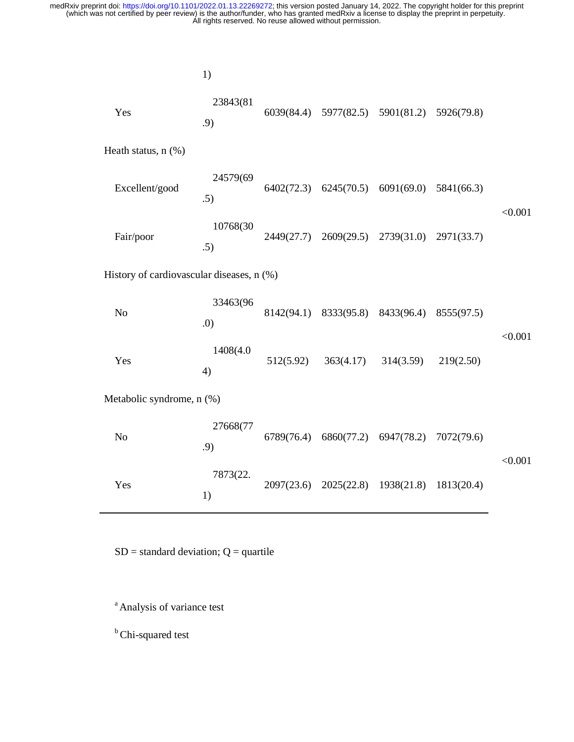|                                           | 1)              |            |           |                                             |            |         |  |
|-------------------------------------------|-----------------|------------|-----------|---------------------------------------------|------------|---------|--|
| Yes                                       | 23843(81<br>.9) |            |           | 6039(84.4) 5977(82.5) 5901(81.2) 5926(79.8) |            |         |  |
| Heath status, $n$ $(\%)$                  |                 |            |           |                                             |            |         |  |
| Excellent/good                            | 24579(69<br>.5) |            |           | $6402(72.3)$ $6245(70.5)$ $6091(69.0)$      | 5841(66.3) | < 0.001 |  |
| Fair/poor                                 | 10768(30<br>.5) |            |           | 2449(27.7) 2609(29.5) 2739(31.0)            | 2971(33.7) |         |  |
| History of cardiovascular diseases, n (%) |                 |            |           |                                             |            |         |  |
| N <sub>o</sub>                            | 33463(96<br>.0) | 8142(94.1) |           | 8333(95.8) 8433(96.4)                       | 8555(97.5) | < 0.001 |  |
| Yes                                       | 1408(4.0<br>4)  | 512(5.92)  | 363(4.17) | 314(3.59)                                   | 219(2.50)  |         |  |
| Metabolic syndrome, n (%)                 |                 |            |           |                                             |            |         |  |
| N <sub>o</sub>                            | 27668(77<br>.9) | 6789(76.4) |           | 6860(77.2) 6947(78.2)                       | 7072(79.6) | < 0.001 |  |
| Yes                                       | 7873(22.<br>1)  | 2097(23.6) |           | 2025(22.8) 1938(21.8) 1813(20.4)            |            |         |  |

 $SD = standard deviation$ ;  $Q = quartile$ 

<sup>a</sup> Analysis of variance test

**b** Chi-squared test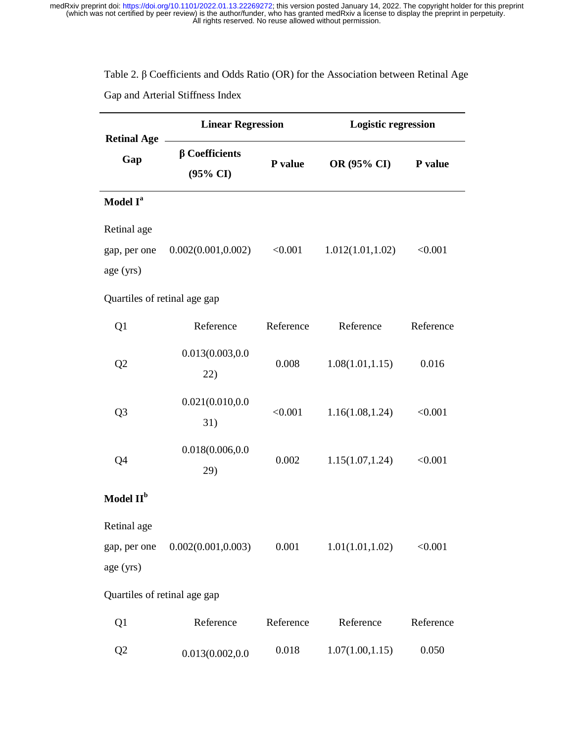# Table 2. β Coefficients and Odds Ratio (OR) for the Association between Retinal Age Gap and Arterial Stiffness Index

 $\overline{\phantom{0}}$ 

| <b>Retinal Age</b>           | <b>Linear Regression</b>                    |           | <b>Logistic regression</b> |           |  |  |  |  |
|------------------------------|---------------------------------------------|-----------|----------------------------|-----------|--|--|--|--|
| Gap                          | $\beta$ Coefficients<br>$(95\% \text{ CI})$ | P value   | OR (95% CI)                | P value   |  |  |  |  |
| Model I <sup>a</sup>         |                                             |           |                            |           |  |  |  |  |
| Retinal age                  |                                             |           |                            |           |  |  |  |  |
| gap, per one                 | 0.002(0.001, 0.002)                         | < 0.001   | 1.012(1.01, 1.02)          | < 0.001   |  |  |  |  |
| age (yrs)                    |                                             |           |                            |           |  |  |  |  |
| Quartiles of retinal age gap |                                             |           |                            |           |  |  |  |  |
| Q1                           | Reference                                   | Reference | Reference                  | Reference |  |  |  |  |
| Q2                           | 0.013(0.003,0.0                             | 0.008     | 1.08(1.01, 1.15)           | 0.016     |  |  |  |  |
|                              | 22)                                         |           |                            |           |  |  |  |  |
| Q <sub>3</sub>               | 0.021(0.010, 0.0                            | < 0.001   | 1.16(1.08, 1.24)           | < 0.001   |  |  |  |  |
|                              | 31)                                         |           |                            |           |  |  |  |  |
| Q4                           | 0.018(0.006, 0.0                            | 0.002     | 1.15(1.07, 1.24)           | < 0.001   |  |  |  |  |
|                              | 29)                                         |           |                            |           |  |  |  |  |
| Model II <sup>b</sup>        |                                             |           |                            |           |  |  |  |  |
| Retinal age                  |                                             |           |                            |           |  |  |  |  |
| gap, per one                 | 0.002(0.001, 0.003)                         | 0.001     | 1.01(1.01, 1.02)           | < 0.001   |  |  |  |  |
| age (yrs)                    |                                             |           |                            |           |  |  |  |  |
| Quartiles of retinal age gap |                                             |           |                            |           |  |  |  |  |
| Q1                           | Reference                                   | Reference | Reference                  | Reference |  |  |  |  |
| Q2                           | 0.013(0.002, 0.0                            | 0.018     | 1.07(1.00, 1.15)           | 0.050     |  |  |  |  |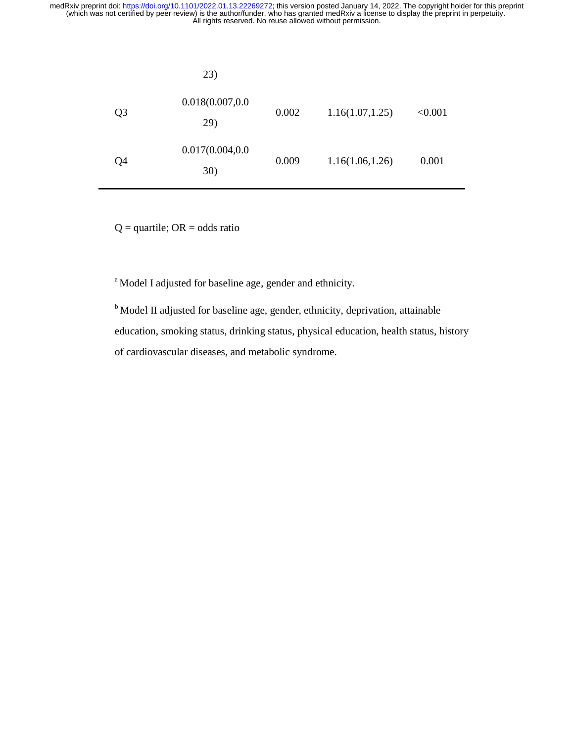|    | 23)                     |       |                  |         |
|----|-------------------------|-------|------------------|---------|
| Q3 | 0.018(0.007, 0.0<br>29) | 0.002 | 1.16(1.07, 1.25) | < 0.001 |
| Q4 | 0.017(0.004, 0.0<br>30) | 0.009 | 1.16(1.06, 1.26) | 0.001   |

 $Q =$ quartile; OR = odds ratio

<sup>a</sup> Model I adjusted for baseline age, gender and ethnicity.

<sup>b</sup> Model II adjusted for baseline age, gender, ethnicity, deprivation, attainable education, smoking status, drinking status, physical education, health status, history of cardiovascular diseases, and metabolic syndrome.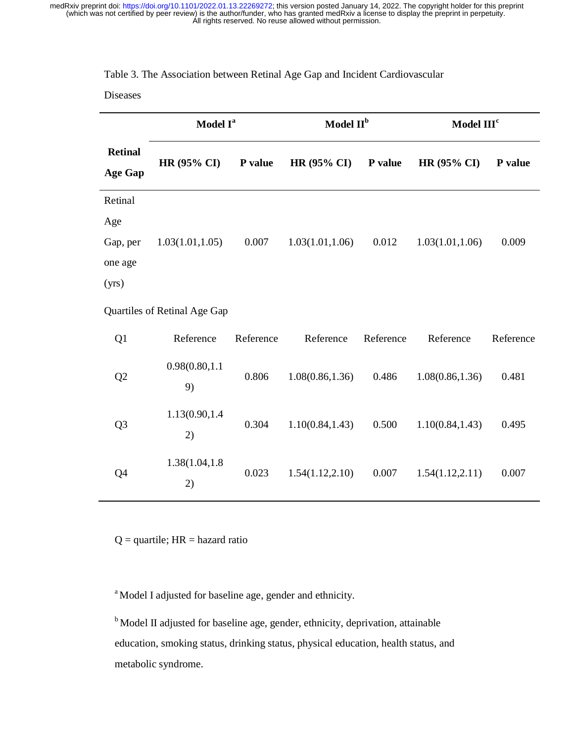# Table 3. The Association between Retinal Age Gap and Incident Cardiovascular

# Diseases

|                                  | Model I <sup>a</sup>         |           | Model II <sup>b</sup> |           | Model III <sup>c</sup> |           |
|----------------------------------|------------------------------|-----------|-----------------------|-----------|------------------------|-----------|
| <b>Retinal</b><br><b>Age Gap</b> | HR (95% CI)                  | P value   | <b>HR (95% CI)</b>    | P value   | <b>HR (95% CI)</b>     | P value   |
| Retinal                          |                              |           |                       |           |                        |           |
| Age                              |                              |           |                       |           |                        |           |
| Gap, per                         | 1.03(1.01, 1.05)             | 0.007     | 1.03(1.01, 1.06)      | 0.012     | 1.03(1.01, 1.06)       | 0.009     |
| one age                          |                              |           |                       |           |                        |           |
| (yrs)                            |                              |           |                       |           |                        |           |
|                                  | Quartiles of Retinal Age Gap |           |                       |           |                        |           |
| Q1                               | Reference                    | Reference | Reference             | Reference | Reference              | Reference |
| Q <sub>2</sub>                   | 0.98(0.80, 1.1)<br>9)        | 0.806     | 1.08(0.86, 1.36)      | 0.486     | 1.08(0.86, 1.36)       | 0.481     |
| Q <sub>3</sub>                   | 1.13(0.90,1.4)<br>2)         | 0.304     | 1.10(0.84, 1.43)      | 0.500     | 1.10(0.84, 1.43)       | 0.495     |
| Q4                               | 1.38(1.04,1.8)<br>2)         | 0.023     | 1.54(1.12, 2.10)      | 0.007     | 1.54(1.12, 2.11)       | 0.007     |

 $Q =$  quartile;  $HR =$  hazard ratio

<sup>a</sup> Model I adjusted for baseline age, gender and ethnicity.

<sup>b</sup> Model II adjusted for baseline age, gender, ethnicity, deprivation, attainable education, smoking status, drinking status, physical education, health status, and metabolic syndrome.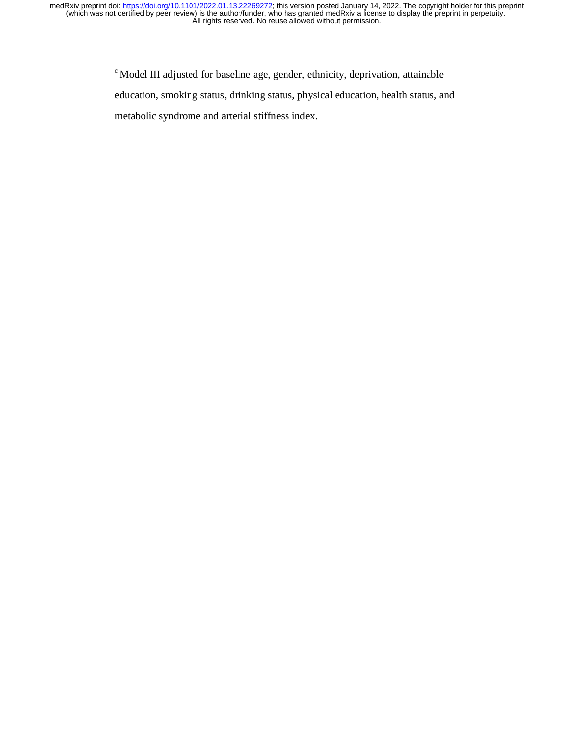> c Model III adjusted for baseline age, gender, ethnicity, deprivation, attainable education, smoking status, drinking status, physical education, health status, and metabolic syndrome and arterial stiffness index.